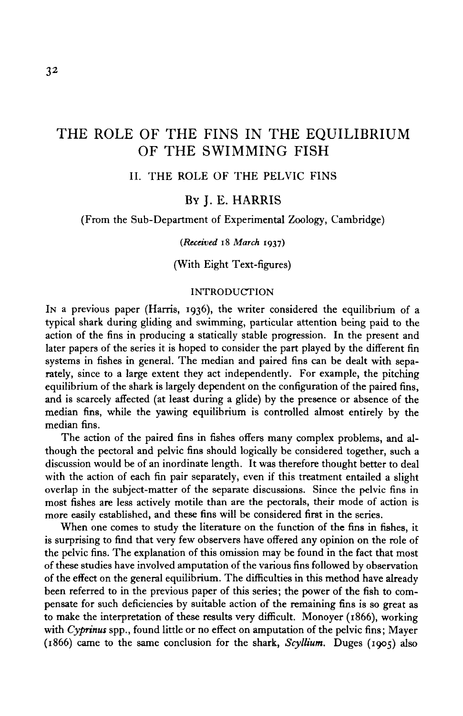# 32

# THE ROLE OF THE FINS IN THE EQUILIBRIUM OF THE SWIMMING FISH

II. THE ROLE OF THE PELVIC FINS

# BY J. E. HARRIS

(From the Sub-Department of Experimental Zoology, Cambridge)

#### *(Received* **18** *March* **1937)**

(With Eight Text-figures)

## INTRODUCTION

IN a previous paper (Harris, 1936), the writer considered the equilibrium of a typical shark during gliding and swimming, particular attention being paid to the action of the fins in producing a statically stable progression. In the present and later papers of the series it is hoped to consider the part played by the different fin systems in fishes in general. The median and paired fins can be dealt with separately, since to a large extent they act independently. For example, the pitching equilibrium of the shark is largely dependent on the configuration of the paired fins, and is scarcely affected (at least during a glide) by the presence or absence of the median fins, while the yawing equilibrium is controlled almost entirely by the median fins.

The action of the paired fins in fishes offers many complex problems, and although the pectoral and pelvic fins should logically be considered together, such a discussion would be of an inordinate length. It was therefore thought better to deal with the action of each fin pair separately, even if this treatment entailed a slight overlap in the subject-matter of the separate discussions. Since the pelvic fins in most fishes are less actively motile than are the pectorals, their mode of action is more easily established, and these fins will be considered first in the series.

When one comes to study the literature on the function of the fins in fishes, it is surprising to find that very few observers have offered any opinion on the role of the pelvic fins. The explanation of this omission may be found in the fact that most of these studies have involved amputation of the various fins followed by observation of the effect on the general equilibrium. The difficulties in this method have already been referred to in the previous paper of this series; the power of the fish to compensate for such deficiencies by suitable action of the remaining fins is so great as to make the interpretation of these results very difficult. Monoyer (1866), working with *Cyprinus* spp., found little or no effect on amputation of the pelvic fins; Mayer (1866) came to the same conclusion for the shark, *Scyllium.* Duges (1905) also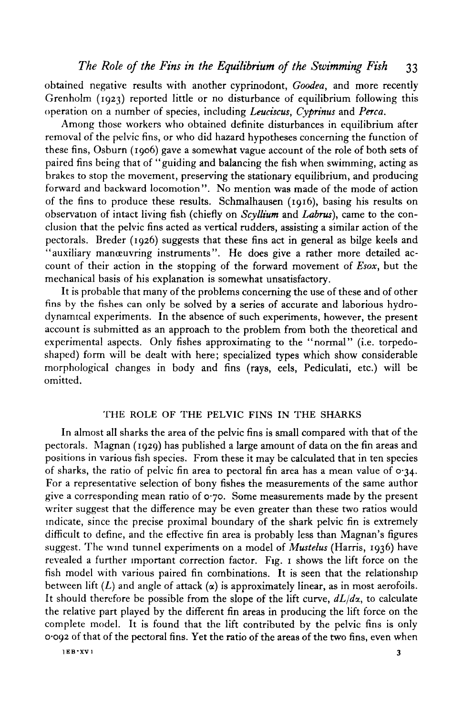obtained negative results with another cyprinodont, *Goodea,* and more recently Grenholm (1923) reported little or no disturbance of equilibrium following this operation on a number of species, including *Leuciscus, Cyprinus* and *Perca.*

Among those workers who obtained definite disturbances in equilibrium after removal of the pelvic fins, or who did hazard hypotheses concerning the function of these fins, Osburn (1906) gave a somewhat vague account of the role of both sets of paired fins being that of "guiding and balancing the fish when swimming, acting as brakes to stop the movement, preserving the stationary equilibrium, and producing forward and backward locomotion". No mention was made of the mode of action of the fins to produce these results. Schmalhausen (1916), basing his results on observation of intact living fish (chiefly on *Scyllium* and *Labrus),* came to the conclusion that the pelvic fins acted as vertical rudders, assisting a similar action of the pectorals. Breder (1926) suggests that these fins act in general as bilge keels and "auxiliary manœuvring instruments". He does give a rather more detailed account of their action in the stopping of the forward movement of *Esox,* but the mechanical basis of his explanation is somewhat unsatisfactory.

It is probable that many of the problems concerning the use of these and of other fins by the fishes can only be solved by a series of accurate and laborious hydrodynamical experiments. In the absence of such experiments, however, the present account is submitted as an approach to the problem from both the theoretical and experimental aspects. Only fishes approximating to the "normal" (i.e. torpedoshaped) form will be dealt with here; specialized types which show considerable morphological changes in body and fins (rays, eels, Pediculati, etc.) will be omitted.

## THE ROLE OF THE PELVIC FINS IN THE SHARKS

In almost all sharks the area of the pelvic fins is small compared with that of the pectorals. Magnan (1929) has published a large amount of data on the fin areas and positions in various fish species. From these it may be calculated that in ten species of sharks, the ratio of pelvic fin area to pectoral fin area has a mean value of  $\sigma$ -34. For a representative selection of bony fishes the measurements of the same author give a corresponding mean ratio of  $\sigma$ -70. Some measurements made by the present writer suggest that the difference may be even greater than these two ratios would indicate, since the precise proximal boundary of the shark pelvic fin is extremely difficult to define, and the effective fin area is probably less than Magnan's figures suggest. The wind tunnel experiments on a model of *Mustelus* (Harris, 1936) have revealed a further important correction factor. Fig. 1 shows the lift force on the fish model with various paired fin combinations. It is seen that the relationship between lift  $(L)$  and angle of attack  $(\alpha)$  is approximately linear, as in most aerofoils. It should therefore be possible from the slope of the lift curve, *dL/dx,* to calculate the relative part played by the different fin areas in producing the lift force on the complete model. It is found that the lift contributed by the pelvic fins is only 0-092 of that of the pectoral fins. Yet the ratio of the areas of the two fins, even when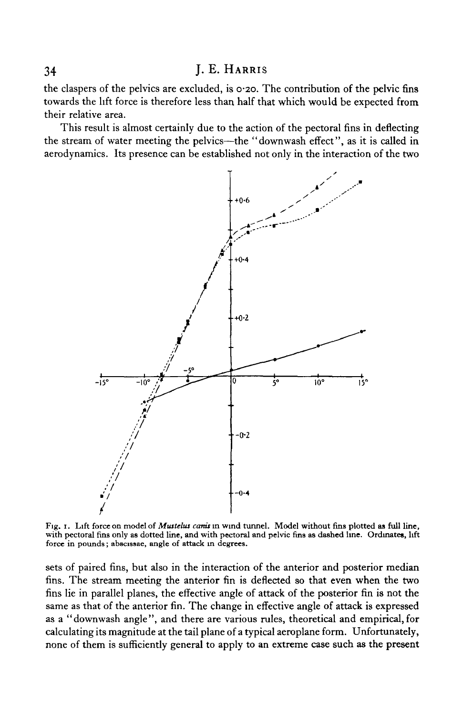the claspers of the pelvics are excluded, is 0-20. The contribution of the pelvic fins towards the lift force is therefore less than half that which would be expected from their relative area.

This result is almost certainly due to the action of the pectoral fins in deflecting the stream of water meeting the pelvics—the "downwash effect", as it is called in aerodynamics. Its presence can be established not only in the interaction of the two



Fig. 1. Lift force on model of *Mustelus cams* in wind tunnel. Model without fins plotted as full line, with pectoral fins only as dotted line, and with pectoral and pelvic fins as dashed line. Ordinates, lift force in pounds; abscissae, angle of attack in degrees.

sets of paired fins, but also in the interaction of the anterior and posterior median fins. The stream meeting the anterior fin is deflected so that even when the two fins lie in parallel planes, the effective angle of attack of the posterior fin is not the same as that of the anterior fin. The change in effective angle of attack is expressed as a "downwash angle", and there are various rules, theoretical and empirical, for calculating its magnitude at the tail plane of a typical aeroplane form. Unfortunately, none of them is sufficiently general to apply to an extreme case such as the present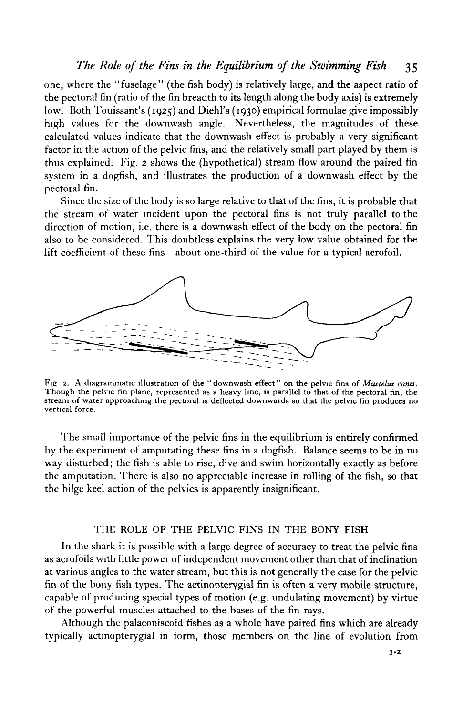one, where the "fuselage" (the fish body) is relatively large, and the aspect ratio of the pectoral fin (ratio of the fin breadth to its length along the body axis) is extremely low. Both Touissant's (1925) and Diehl's (1930) empirical formulae give impossibly high values for the downwash angle. Nevertheless, the magnitudes of these calculated values indicate that the downwash effect is probably a very significant factor in the action of the pelvic fins, and the relatively small part played by them is thus explained. Fig. 2 shows the (hypothetical) stream flow around the paired fin system in a dogfish, and illustrates the production of a downwash effect by the pectoral fin.

Since the size of the body is so large relative to that of the fins, it is probable that the stream of water incident upon the pectoral fins is not truly parallel to the direction of motion, i.e. there is a downwash effect of the body on the pectoral fin also to be considered. This doubtless explains the very low value obtained for the lift coefficient of these fins—about one-third of the value for a typical aerofoil.



Fig. 2. A diagrammatic illustration of the "downwash effect" on the pelvic fins of *Mustelus canis*. Though the pelvic fin plane, represented as a heavy line, is parallel to that of the pectoral fin, the stream of water ap

The small importance of the pelvic fins in the equilibrium is entirely confirmed by the experiment of amputating these fins in a dogfish. Balance seems to be in no way disturbed; the fish is able to rise, dive and swim horizontally exactly as before the amputation. There is also no appreciable increase in rolling of the fish, so that the bilge keel action of the pelvics is apparently insignificant.

### THE ROLE OF THE PELVIC FINS IN THE BONY FISH

In the shark it is possible with a large degree of accuracy to treat the pelvic fins as aerofoils with little power of independent movement other than that of inclination at various angles to the water stream, but this is not generally the case for the pelvic fin of the bony fish types. The actinopterygial fin is often a very mobile structure, capable of producing special types of motion (e.g. undulating movement) by virtue of the powerful muscles attached to the bases of the fin rays.

Although the palaeoniscoid fishes as a whole have paired fins which are already typically actinopterygial in form, those members on the line of evolution from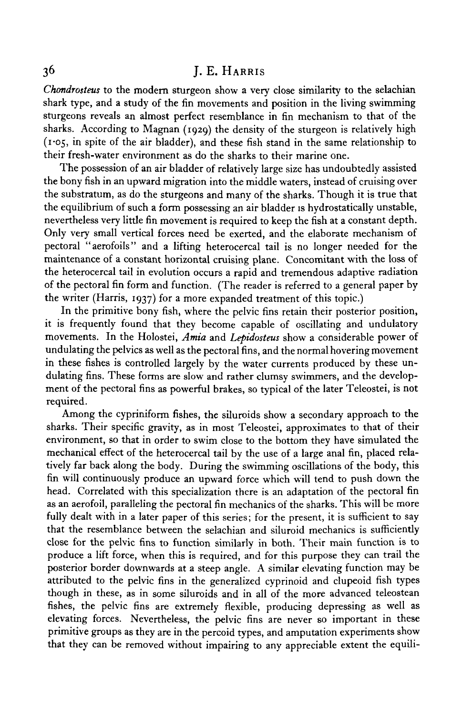*Chondrosteus* to the modem sturgeon show a very close similarity to the selachian shark type, and a study of the fin movements and position in the living swimming sturgeons reveals an almost perfect resemblance in fin mechanism to that of the sharks. According to Magnan (1929) the density of the sturgeon is relatively high (1-05, in spite of the air bladder), and these fish stand in the same relationship to their fresh-water environment as do the sharks to their marine one.

The possession of an air bladder of relatively large size has undoubtedly assisted the bony fish in an upward migration into the middle waters, instead of cruising over the substratum, as do the sturgeons and many of the sharks. Though it is true that the equilibrium of such a form possessing an air bladder is hydrostatically unstable, nevertheless very little fin movement is required to keep the fish at a constant depth. Only very small vertical forces need be exerted, and the elaborate mechanism of pectoral "aerofoils" and a lifting heterocercal tail is no longer needed for the maintenance of a constant horizontal cruising plane. Concomitant with the loss of the heterocercal tail in evolution occurs a rapid and tremendous adaptive radiation of the pectoral fin form and function. (The reader is referred to a general paper by the writer (Harris, 1937) for a more expanded treatment of this topic.)

In the primitive bony fish, where the pelvic fins retain their posterior position, it is frequently found that they become capable of oscillating and undulatory movements. In the Holostei, *Amia* and *Lepidosteus* show a considerable power of undulating the pelvics as well as the pectoral fins, and the normal hovering movement in these fishes is controlled largely by the water currents produced by these undulating fins. These forms are slow and rather clumsy swimmers, and the development of the pectoral fins as powerful brakes, so typical of the later Teleostei, is not required.

Among the cypriniform fishes, the siluroids show a secondary approach to the sharks. Their specific gravity, as in most Teleostei, approximates to that of their environment, so that in order to swim close to the bottom they have simulated the mechanical effect of the heterocercal tail by the use of a large anal fin, placed relatively far back along the body. During the swimming oscillations of the body, this fin will continuously produce an upward force which will tend to push down the head. Correlated with this specialization there is an adaptation of the pectoral fin as an aerofoil, paralleling the pectoral fin mechanics of the sharks. This will be more fully dealt with in a later paper of this series; for the present, it is sufficient to say that the resemblance between the selachian and siluroid mechanics is sufficiently close for the pelvic fins to function similarly in both. Their main function is to produce a lift force, when this is required, and for this purpose they can trail the posterior border downwards at a steep angle. A similar elevating function may be attributed to the pelvic fins in the generalized cyprinoid and clupeoid fish types though in these, as in some siluroids and in all of the more advanced teleostean fishes, the pelvic fins are extremely flexible, producing depressing as well as elevating forces. Nevertheless, the pelvic fins are never so important in these primitive groups as they are in the percoid types, and amputation experiments show that they can be removed without impairing to any appreciable extent the equili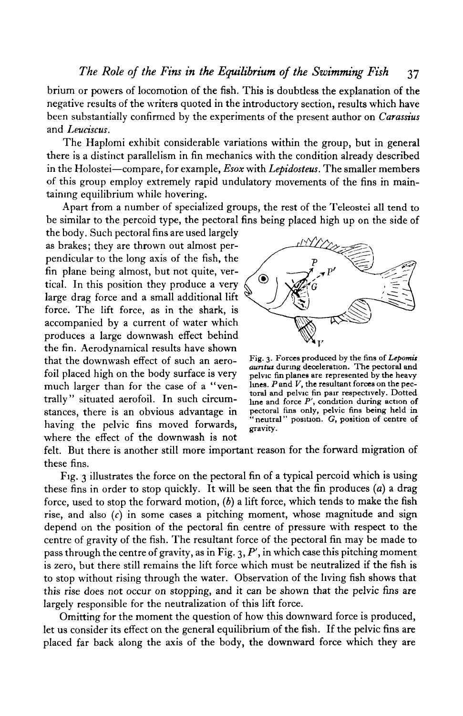brium or powers of locomotion of the fish. This is doubtless the explanation of the negative results of the writers quoted in the introductory section, results which have been substantially confirmed by the experiments of the present author on *Carassius* and *Leuciscus.*

The Haplomi exhibit considerable variations within the group, but in general there is a distinct parallelism in fin mechanics with the condition already described in the Holostei—compare, for example, *Esox* with *Lepidosteus.* The smaller members of this group employ extremely rapid undulatory movements of the fins in maintaining equilibrium while hovering.

Apart from a number of specialized groups, the rest of the Teleostei all tend to be similar to the percoid type, the pectoral fins being placed high up on the side of

the body. Such pectoral fins are used largely as brakes; they are thrown out almost perpendicular to the long axis of the fish, the fin plane being almost, but not quite, vertical. In this position they produce a very large drag force and a small additional lift force. The lift force, as in the shark, is accompanied by a current of water which produces a large downwash effect behind the fin. Aerodynamical results have shown that the downwash effect of such an aerofoil placed high on the body surface is very much larger than for the case of a "ventrally" situated aerofoil. In such circumstances, there is an obvious advantage in having the pelvic fins moved forwards, where the effect of the downwash is not



Fig. 3. Forces produced by the fins of *Lepomit auntut* during deceleration. The pectoral and pelvic fin planes are represented by the heavy lines.  $P$  and  $V$ , the resultant forces on the pectoral and pelvic fin pair respectively. Dotted line and force *P',* condition during action of pectoral fins only, pelvic fins being held in "neutral" position. G, position of centre of gravity.

felt. But there is another still more important reason for the forward migration of these fins.

Fig. 3 illustrates the force on the pectoral fin of a typical percoid which is using these fins in order to stop quickly. It will be seen that the fin produces *(a)* a drag force, used to stop the forward motion, *(b)* a lift force, which tends to make the fish rise, and also *(c)* in some cases a pitching moment, whose magnitude and sign depend on the position of the pectoral fin centre of pressure with respect to the centre of gravity of the fish. The resultant force of the pectoral fin may be made to pass through the centre of gravity, as in Fig. 3, *P1 ,* in which case this pitching moment is zero, but there still remains the lift force which must be neutralized if the fish is to stop without rising through the water. Observation of the living fish shows that this rise does not occur on stopping, and it can be shown that the pelvic fins are largely responsible for the neutralization of this lift force.

Omitting for the moment the question of how this downward force is produced, let us consider its effect on the general equilibrium of the fish. If the pelvic fins are placed far back along the axis of the body, the downward force which they are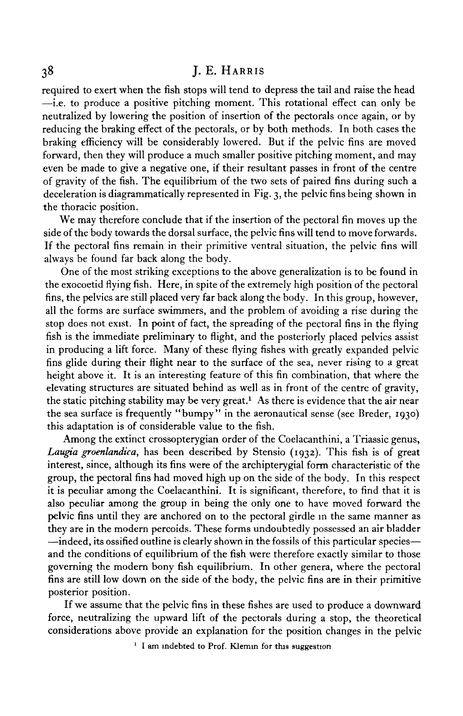required to exert when the fish stops will tend to depress the tail and raise the head  $\overline{-i}$ . to produce a positive pitching moment. This rotational effect can only be neutralized by lowering the position of insertion of the pectorals once again, or by reducing the braking effect of the pectorals, or by both methods. In both cases the braking efficiency will be considerably lowered. But if the pelvic fins are moved forward, then they will produce a much smaller positive pitching moment, and may even be made to give a negative one, if their resultant passes in front of the centre of gravity of the fish. The equilibrium of the two sets of paired fins during such a deceleration is diagrammatically represented in Fig. 3, the pelvic fins being shown in the thoracic position.

We may therefore conclude that if the insertion of the pectoral fin moves up the side of the body towards the dorsal surface, the pelvic fins will tend to move forwards. If the pectoral fins remain in their primitive ventral situation, the pelvic fins will always be found far back along the body.

One of the most striking exceptions to the above generalization is to be found in the exocoetid flying fish. Here, in spite of the extremely high position of the pectoral fins, the pelvics are still placed very far back along the body. In this group, however, all the forms are surface swimmers, and the problem of avoiding a rise during the stop does not exist. In point of fact, the spreading of the pectoral fins in the flying fish is the immediate preliminary to flight, and the posteriorly placed pelvics assist in producing a lift force. Many of these flying fishes with greatly expanded pelvic fins glide during their flight near to the surface of the sea, never rising to a great height above it. It is an interesting feature of this fin combination, that where the elevating structures are situated behind as well as in front of the centre of gravity, the static pitching stability may be very great.<sup>1</sup> As there is evidence that the air near the sea surface is frequently "bumpy" in the aeronautical sense (see Breder, 1930) this adaptation is of considerable value to the fish.

Among the extinct crossopterygian order of the Coelacanthini, a Triassic genus, *Laugia groenlandica,* has been described by Stensio (1932). This fish is of great interest, since, although its fins were of the archipterygial form characteristic of the group, the pectoral fins had moved high up on the side of the body. In this respect it is peculiar among the Coelacanthini. It is significant, therefore, to find that it is also peculiar among the group in being the only one to have moved forward the pelvic fins until they are anchored on to the pectoral girdle in the same manner as they are in the modern percoids. These forms undoubtedly possessed an air bladder —indeed, its ossified outline is clearly shown in the fossils of this particular species and the conditions of equilibrium of the fish were therefore exactly similar to those governing the modern bony fish equilibrium. In other genera, where the pectoral fins are still low down on the side of the body, the pelvic fins are in their primitive posterior position.

If we assume that the pelvic fins in these fishes are used to produce a downward force, neutralizing the upward lift of the pectorals during a stop, the theoretical considerations above provide an explanation for the position changes in the pelvic

<sup>1</sup> I am indebted to Prof. Klemin for this suggestion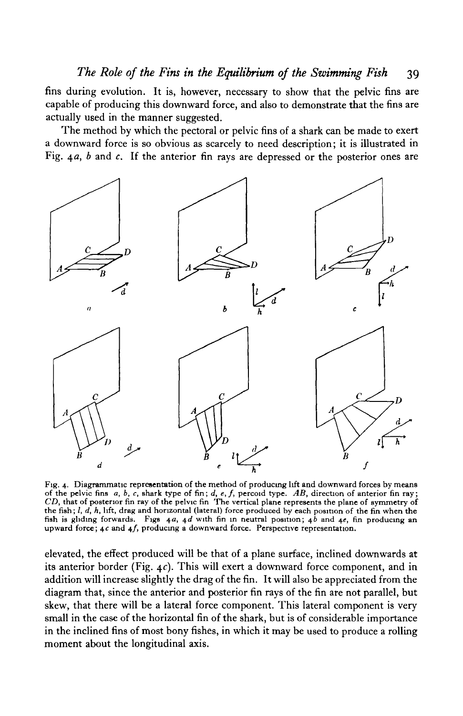fins during evolution. It is, however, necessary to show that the pelvic fins are capable of producing this downward force, and also to demonstrate that the fins are actually used in the manner suggested.

The method by which the pectoral or pelvic fins of a shark can be made to exert a downward force is so obvious as scarcely to need description; it is illustrated in Fig.  $4a$ , b and c. If the anterior fin rays are depressed or the posterior ones are



Fig. 4. Diagrammatic representation of the method of producing lift and downward forces by means of the pelvic fins a, *b, c,* shark type of fin; *d, e, f,* percoid type. *AB,* direction of anterior fin ray; *CD,* that of posterior fin ray of the pelvic fin The vertical plane represents the plane of symmetry of the fish;  $l$ ,  $d$ ,  $h$ , lift, drag and horizontal (lateral) force produced by each position of the fin when the fish is gliding forwards. Figs 4*a*, 4*d* with fin in neutral position; 4*b* and 4*e*, fin producing an upwa

elevated, the effect produced will be that of a plane surface, inclined downwards at its anterior border (Fig.  $4c$ ). This will exert a downward force component, and in addition will increase slightly the drag of the fin. It will also be appreciated from the diagram that, since the anterior and posterior fin rays of the fin are not parallel, but skew, that there will be a lateral force component. This lateral component is very small in the case of the horizontal fin of the shark, but is of considerable importance in the inclined fins of most bony fishes, in which it may be used to produce a rolling moment about the longitudinal axis.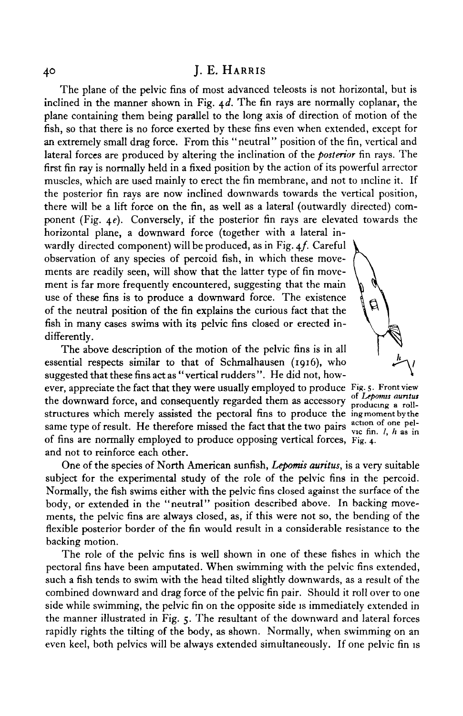The plane of the pelvic fins of most advanced teleosts is not horizontal, but is inclined in the manner shown in Fig.  $4d$ . The fin rays are normally coplanar, the plane containing them being parallel to the long axis of direction of motion of the fish, so that there is no force exerted by these fins even when extended, except for an extremely small drag force. From this "neutral" position of the fin, vertical and lateral forces are produced by altering the inclination of the *posterior* fin rays. The first fin ray is normally held in a fixed position by the action of its powerful arrector muscles, which are used mainly to erect the fin membrane, and not to incline it. If the posterior fin rays are now inclined downwards towards the vertical position, there will be a lift force on the fin, as well as a lateral (outwardly directed) component (Fig. 4 $e$ ). Conversely, if the posterior fin rays are elevated towards the horizontal plane, a downward force (together with a lateral in-

wardly directed component) will be produced, as in Fig. 4f. Careful observation of any species of percoid fish, in which these movements are readily seen, will show that the latter type of fin movement is far more frequently encountered, suggesting that the main use of these fins is to produce a downward force. The existence of the neutral position of the fin explains the curious fact that the fish in many cases swims with its pelvic fins closed or erected indifferently.

The above description of the motion of the pelvic fins is in all essential respects similar to that of Schmalhausen (1916), who suggested that these fins act as "vertical rudders ". He did not, however, appreciate the fact that they were usually employed to produce Fig. 5. Front view the downward force, and consequently regarded them as accessory producing a rollstructures which merely assisted the pectoral fins to produce the ing moment by the same type of result. He therefore missed the fact that the two pairs action of one pelof fins are normally employed to produce opposing vertical forces, Fig. 4. and not to reinforce each other.

g

One of the species of North American sunfish, *Lepomis auritus,* is a very suitable subject for the experimental study of the role of the pelvic fins in the percoid. Normally, the fish swims either with the pelvic fins closed against the surface of the body, or extended in the "neutral" position described above. In backing movements, the pelvic fins are always closed, as, if this were not so, the bending of the flexible posterior border of the fin would result in a considerable resistance to the backing motion.

The role of the pelvic fins is well shown in one of these fishes in which the pectoral fins have been amputated. When swimming with the pelvic fins extended, such a fish tends to swim with the head tilted slightly downwards, as a result of the combined downward and drag force of the pelvic fin pair. Should it roll over to one side while swimming, the pelvic fin on the opposite side is immediately extended in the manner illustrated in Fig. 5. The resultant of the downward and lateral forces rapidly rights the tilting of the body, as shown. Normally, when swimming on an even keel, both pelvics will be always extended simultaneously. If one pelvic fin is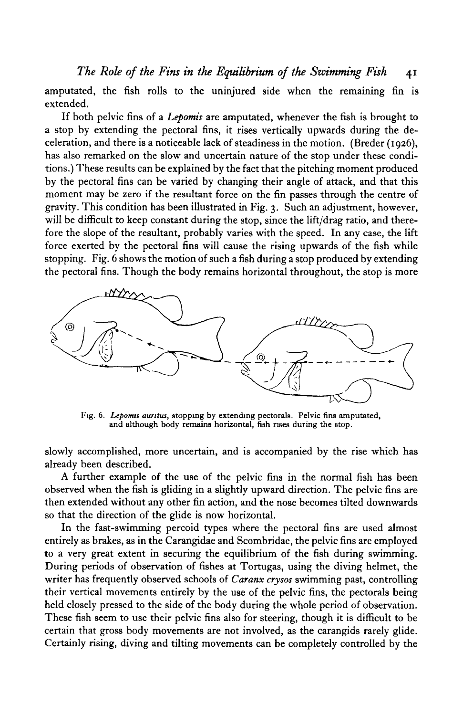amputated, the fish rolls to the uninjured side when the remaining fin is extended.

If both pelvic fins of a *Lepomis* are amputated, whenever the fish is brought to a stop by extending the pectoral fins, it rises vertically upwards during the deceleration, and there is a noticeable lack of steadiness in the motion. (Breder (1926), has also remarked on the slow and uncertain nature of the stop under these conditions.) These results can be explained by the fact that the pitching moment produced by the pectoral fins can be varied by changing their angle of attack, and that this moment may be zero if the resultant force on the fin passes through the centre of gravity. This condition has been illustrated in Fig. 3. Such an adjustment, however, will be difficult to keep constant during the stop, since the lift/drag ratio, and therefore the slope of the resultant, probably varies with the speed. In any case, the lift force exerted by the pectoral fins will cause the rising upwards of the fish while stopping. Fig. 6 shows the motion of such a fish during a stop produced by extending the pectoral fins. Though the body remains horizontal throughout, the stop is more



Fig. 6. *Leponut auritui,* stopping by extending pectorals. Pelvic fins amputated, and although body remains horizontal, fish rises during the stop.

slowly accomplished, more uncertain, and is accompanied by the rise which has already been described.

A further example of the use of the pelvic fins in the normal fish has been observed when the fish is gliding in a slightly upward direction. The pelvic fins are then extended without any other fin action, and the nose becomes tilted downwards so that the direction of the glide is now horizontal.

In the fast-swimming percoid types where the pectoral fins are used almost entirely as brakes, as in the Carangidae and Scombridae, the pelvic fins are employed to a very great extent in securing the equilibrium of the fish during swimming. During periods of observation of fishes at Tortugas, using the diving helmet, the writer has frequently observed schools of *Caranx crysos* swimming past, controlling their vertical movements entirely by the use of the pelvic fins, the pectorals being held closely pressed to the side of the body during the whole period of observation. These fish seem to use their pelvic fins also for steering, though it is difficult to be certain that gross body movements are not involved, as the carangids rarely glide. Certainly rising, diving and tilting movements can be completely controlled by the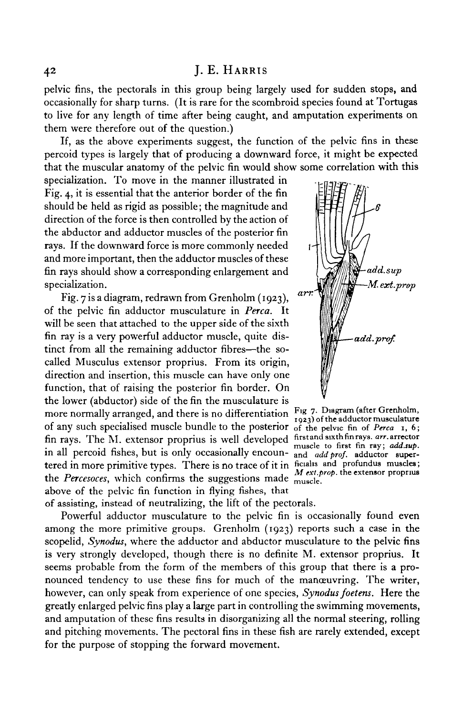pelvic fins, the pectorals in this group being largely used for sudden stops, and occasionally for sharp turns. (It is rare for the scombroid species found at Tortugas to live for any length of time after being caught, and amputation experiments on them were therefore out of the question.)

If, as the above experiments suggest, the function of the pelvic fins in these percoid types is largely that of producing a downward force, it might be expected that the muscular anatomy of the pelvic fin would show some correlation with this

specialization. To move in the manner illustrated in Fig. 4, it is essential that the anterior border of the fin should be held as rigid as possible; the magnitude and direction of the force is then controlled by the action of the abductor and adductor muscles of the posterior fin rays. If the downward force is more commonly needed and more important, then the adductor muscles of these fin rays should show a corresponding enlargement and specialization.

Fig. 7 is a diagram, redrawn from Grenholm (1923), of the pelvic fin adductor musculature in *Perca.* It will be seen that attached to the upper side of the sixth fin ray is a very powerful adductor muscle, quite distinct from all the remaining adductor fibres—the socalled Musculus extensor proprius. From its origin, direction and insertion, this muscle can have only one function, that of raising the posterior fin border. On the lower (abductor) side of the fin the musculature is more normally arranged, and there is no differentiation  $\frac{F_{1}g}{1923}$  of the adductor musculature of any such specialised muscle bundle to the posterior of the pelvic fin of Perca  $\overline{1, 6}$ ; fin rays. The M. extensor proprius is well developed first and such fin rays. arr arrector fin rays. The M. extensor proprius is well developed muscle to first fin ray; add.sup. If percold fishes, but is only occasionally encoun- <sub>and add prof. adductor super-</sub> tered in more primitive types. There is no trace of it in ficialis and profundus muscles;<br>the Percesoces, which confirms the suggestions made  $\frac{M \text{ ext. prop. the extension proprius}}{m \text{ times. }}$ above of the pelvic fin function in flying fishes, that



of assisting, instead of neutralizing, the lift of the pectorals.

Powerful adductor musculature to the pelvic fin is occasionally found even among the more primitive groups. Grenholm (1923) reports such a case in the scopelid, Synodus, where the adductor and abductor musculature to the pelvic fins is very strongly developed, though there is no definite M. extensor proprius. It seems probable from the form of the members of this group that there is a pronounced tendency to use these fins for much of the manoeuvring. The writer, however, can only speak from experience of one species, Synodus foetens. Here the greatly enlarged pelvic fins play a large part in controlling the swimming movements, and amputation of these fins results in disorganizing all the normal steering, rolling and pitching movements. The pectoral fins in these fish are rarely extended, except for the purpose of stopping the forward movement.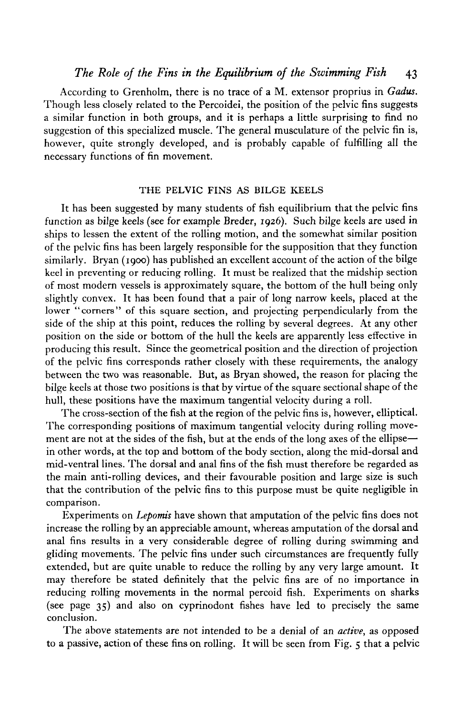According to Grenholm, there is no trace of a M. extensor proprius in *Gadus.* Though less closely related to the Percoidei, the position of the pelvic fins suggests a similar function in both groups, and it is perhaps a little surprising to find no suggestion of this specialized muscle. The general musculature of the pelvic fin is, however, quite strongly developed, and is probably capable of fulfilling all the necessary functions of fin movement.

# THE PELVIC FINS AS BILGE KEELS

It has been suggested by many students of fish equilibrium that the pelvic fins function as bilge keels (see for example Breder, 1926). Such bilge keels are used in ships to lessen the extent of the rolling motion, and the somewhat similar position of the pelvic fins has been largely responsible for the supposition that they function similarly. Bryan (1900) has published an excellent account of the action of the bilge keel in preventing or reducing rolling. It must be realized that the midship section of most modern vessels is approximately square, the bottom of the hull being only slightly convex. It has been found that a pair of long narrow keels, placed at the lower "corners" of this square section, and projecting perpendicularly from the side of the ship at this point, reduces the rolling by several degrees. At any other position on the side or bottom of the hull the keels are apparently less effective in producing this result. Since the geometrical position and the direction of projection of the pelvic fins corresponds rather closely with these requirements, the analogy between the two was reasonable. But, as Bryan showed, the reason for placing the bilge keels at those two positions is that by virtue of the square sectional shape of the hull, these positions have the maximum tangential velocity during a roll.

The cross-section of the fish at the region of the pelvic fins is, however, elliptical. The corresponding positions of maximum tangential velocity during rolling movement are not at the sides of the fish, but at the ends of the long axes of the ellipse in other words, at the top and bottom of the body section, along the mid-dorsal and mid-ventral lines. The dorsal and anal fins of the fish must therefore be regarded as the main anti-rolling devices, and their favourable position and large size is such that the contribution of the pelvic fins to this purpose must be quite negligible in comparison.

Experiments on *Lepomis* have shown that amputation of the pelvic fins does not increase the rolling by an appreciable amount, whereas amputation of the dorsal and anal fins results in a very considerable degree of rolling during swimming and gliding movements. The pelvic fins under such circumstances are frequently fully extended, but are quite unable to reduce the rolling by any very large amount. It may therefore be stated definitely that the pelvic fins are of no importance in reducing rolling movements in the normal percoid fish. Experiments on sharks (see page 35) and also on cyprinodont fishes have led to precisely the same conclusion.

The above statements are not intended to be a denial of an *active,* as opposed to a passive, action of these fins on rolling. It will be seen from Fig. 5 that a pelvic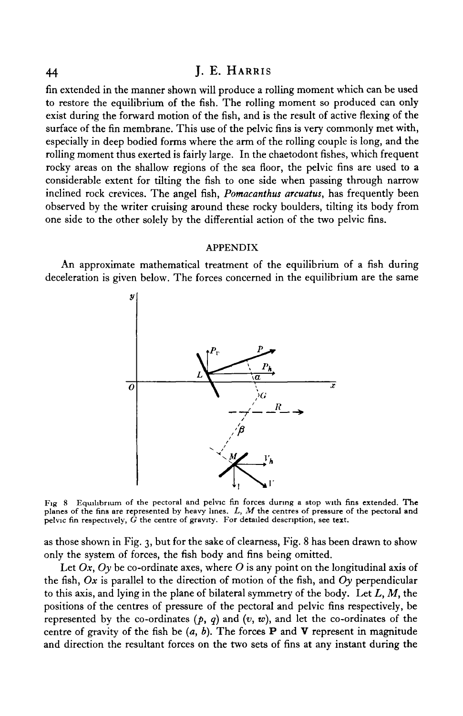fin extended in the manner shown will produce a rolling moment which can be used to restore the equilibrium of the fish. The rolling moment so produced can only exist during the forward motion of the fish, and is the result of active flexing of the surface of the fin membrane. This use of the pelvic fins is very commonly met with, especially in deep bodied forms where the arm of the rolling couple is long, and the rolling moment thus exerted is fairly large. In the chaetodont fishes, which frequent rocky areas on the shallow regions of the sea floor, the pelvic fins are used to a considerable extent for tilting the fish to one side when passing through narrow inclined rock crevices. The angel fish, *Pomacanthus arcuatus,* has frequently been observed by the writer cruising around these rocky boulders, tilting its body from one side to the other solely by the differential action of the two pelvic fins.

#### APPENDIX

An approximate mathematical treatment of the equilibrium of a fish during deceleration is given below. The forces concerned in the equilibrium are the same



Fig 8 Equilibrium of the pectoral and pelvic fin forces during a stop with fins extended. The planes of the fins are represented by heavy lines. *L, M* the centres of pressure of the pectoral and pelvic fin respectively,  $\tilde{G}$  the centre of gravity. For detailed description, see text.

as those shown in Fig. 3, but for the sake of clearness, Fig. 8 has been drawn to show only the system of forces, the fish body and fins being omitted.

Let *Ox, Oy* be co-ordinate axes, where *O* is any point on the longitudinal axis of the fish, *Ox* is parallel to the direction of motion of the fish, and *Oy* perpendicular to this axis, and lying in the plane of bilateral symmetry of the body. Let *L, M,* the positions of the centres of pressure of the pectoral and pelvic fins respectively, be represented by the co-ordinates *(p, q)* and *(v, w),* and let the co-ordinates of the centre of gravity of the fish be  $(a, b)$ . The forces **P** and **V** represent in magnitude and direction the resultant forces on the two sets of fins at any instant during the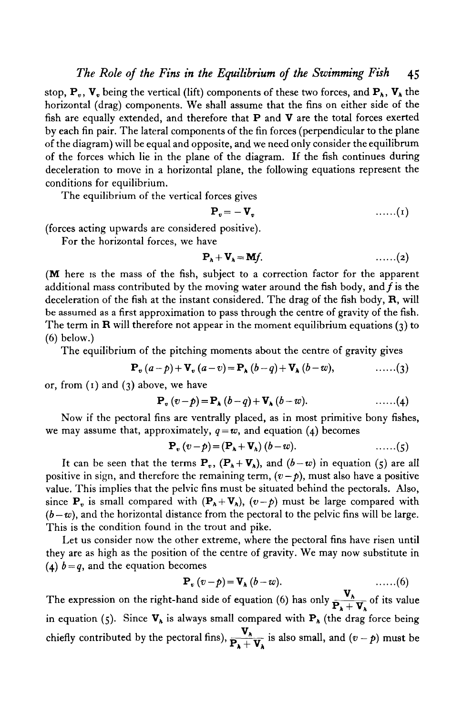stop,  $P_{\nu}$ ,  $V_{\nu}$  being the vertical (lift) components of these two forces, and  $P_{\lambda}$ ,  $V_{\lambda}$  the horizontal (drag) components. We shall assume that the fins on either side of the fish are equally extended, and therefore that  $P$  and  $V$  are the total forces exerted by each fin pair. The lateral components of the fin forces (perpendicular to the plane of the diagram) will be equal and opposite, and we need only consider the equilibrum of the forces which lie in the plane of the diagram. If the fish continues during deceleration to move in a horizontal plane, the following equations represent the conditions for equilibrium.

The equilibrium of the vertical forces gives

$$
\mathbf{P}_{v} = -\mathbf{V}_{v} \qquad \qquad \ldots \ldots (1)
$$

(forces acting upwards are considered positive).

For the horizontal forces, we have

$$
\mathbf{P}_{\lambda} + \mathbf{V}_{\lambda} = \mathbf{M}f. \qquad \qquad \ldots \ldots (2)
$$

(M here is the mass of the fish, subject to a correction factor for the apparent additional mass contributed by the moving water around the fish body, and  $f$  is the deceleration of the fish at the instant considered. The drag of the fish body, R, will be assumed as a first approximation to pass through the centre of gravity of the fish. The term in  **will therefore not appear in the moment equilibrium equations (** $3$ **) to** (6) below.)

The equilibrium of the pitching moments about the centre of gravity gives

$$
\mathbf{P}_{\mathbf{v}}(a-p)+\mathbf{V}_{\mathbf{v}}(a-v)=\mathbf{P}_{\mathbf{A}}(b-q)+\mathbf{V}_{\mathbf{A}}(b-w), \qquad \qquad \ldots \ldots (3)
$$

or, from  $(1)$  and  $(3)$  above, we have

$$
\mathbf{P}_{\mathbf{v}}\left(v-p\right)=\mathbf{P}_{\mathbf{A}}\left(b-q\right)+\mathbf{V}_{\mathbf{A}}\left(b-w\right).\hspace{1cm}\ldots\ldots\left(4\right)
$$

Now if the pectoral fins are ventrally placed, as in most primitive bony fishes, we may assume that, approximately,  $q = w$ , and equation (4) becomes

$$
\mathbf{P}_{v}(v-p)=(\mathbf{P}_{\mathbf{A}}+\mathbf{V}_{\mathbf{A}})(b-w).\qquad \qquad \ldots \ldots (5)
$$

It can be seen that the terms  $P_{\nu}$ ,  $(P_{\lambda} + V_{\lambda})$ , and  $(b - w)$  in equation (5) are all positive in sign, and therefore the remaining term,  $(v-p)$ , must also have a positive value. This implies that the pelvic fins must be situated behind the pectorals. Also, since  $P_r$ , is small compared with  $(P_h + V_h)$ ,  $(v-p)$  must be large compared with  $(b-w)$ , and the horizontal distance from the pectoral to the pelvic fins will be large. This is the condition found in the trout and pike.

Let us consider now the other extreme, where the pectoral fins have risen until they are as high as the position of the centre of gravity. We may now substitute in (4)  $b = q$ , and the equation becomes

$$
\mathbf{P}_{v}(v-p)=\mathbf{V}_{\lambda}(b-w).
$$
 (6)

The expression on the right-hand side of equation (6) has only  $\frac{V_{\lambda}}{P_{\lambda} + V_{\lambda}}$  of its value in equation (5). Since  $V_{\lambda}$  is always small compared with  $P_{\lambda}$  (the drag force being chiefly contributed by the pectoral fins),  $\frac{\mathbf{V}_h}{\mathbf{P}_h + \mathbf{V}_h}$  is also small, and  $(v - p)$  must be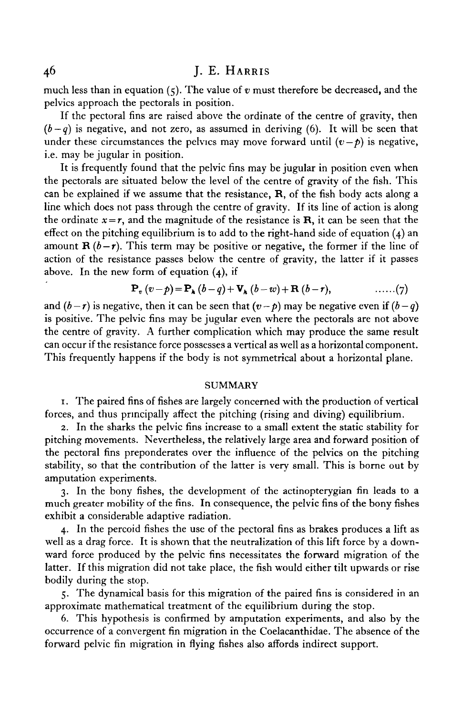much less than in equation (5). The value of *v* must therefore be decreased, and the pelvics approach the pectorals in position.

If the pectoral fins are raised above the ordinate of the centre of gravity, then  $(b-q)$  is negative, and not zero, as assumed in deriving (6). It will be seen that under these circumstances the pelvics may move forward until  $(v-p)$  is negative, i.e. may be jugular in position.

It is frequently found that the pelvic fins may be jugular in position even when the pectorals are situated below the level of the centre of gravity of the fish. This can be explained if we assume that the resistance, R, of the fish body acts along a line which does not pass through the centre of gravity. If its line of action is along the ordinate  $x = r$ , and the magnitude of the resistance is **R**, it can be seen that the effect on the pitching equilibrium is to add to the right-hand side of equation  $(4)$  and amount  $\mathbf{R}(b-r)$ . This term may be positive or negative, the former if the line of action of the resistance passes below the centre of gravity, the latter if it passes above. In the new form of equation (4), if

$$
\mathbf{P}_{\mathbf{v}}\left(v-p\right) = \mathbf{P}_{\mathbf{A}}\left(b-q\right) + \mathbf{V}_{\mathbf{A}}\left(b-w\right) + \mathbf{R}\left(b-r\right), \qquad \qquad \ldots \ldots \left(7\right)
$$

and  $(b - r)$  is negative, then it can be seen that  $(v - p)$  may be negative even if  $(b - q)$ is positive. The pelvic fins may be jugular even where the pectorals are not above the centre of gravity. A further complication which may produce the same result can occur if the resistance force possesses a vertical as well as a horizontal component. This frequently happens if the body is not symmetrical about a horizontal plane.

#### **SUMMARY**

1. The paired fins of fishes are largely concerned with the production of vertical forces, and thus principally affect the pitching (rising and diving) equilibrium.

2. In the sharks the pelvic fins increase to a small extent the static stability for pitching movements. Nevertheless, the relatively large area and forward position of the pectoral fins preponderates over the influence of the pelvics on the pitching stability, so that the contribution of the latter is very small. This is borne out by amputation experiments.

3. In the bony fishes, the development of the actinopterygian fin leads to a much greater mobility of the fins. In consequence, the pelvic fins of the bony fishes exhibit a considerable adaptive radiation.

4. In the percoid fishes the use of the pectoral fins as brakes produces a lift as well as a drag force. It is shown that the neutralization of this lift force by a downward force produced by the pelvic fins necessitates the forward migration of the latter. If this migration did not take place, the fish would either tilt upwards or rise bodily during the stop.

5. The dynamical basis for this migration of the paired fins is considered in an approximate mathematical treatment of the equilibrium during the stop.

6. This hypothesis is confirmed by amputation experiments, and also by the occurrence of a convergent fin migration in the Coelacanthidae. The absence of the forward pelvic fin migration in flying fishes also affords indirect support.